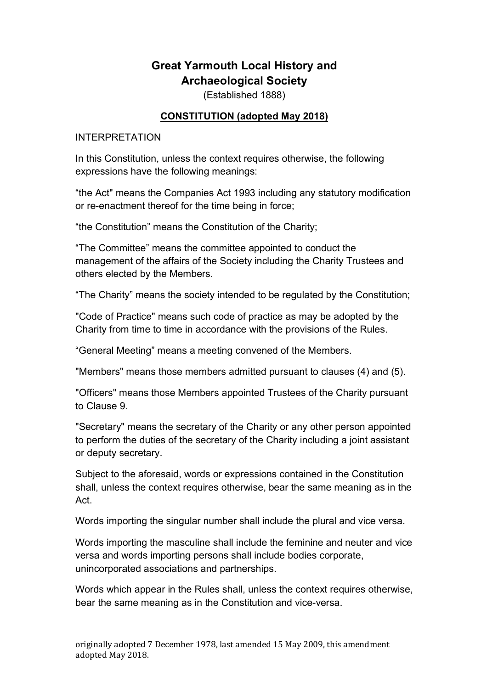# **Great Yarmouth Local History and Archaeological Society**

(Established 1888)

#### **CONSTITUTION (adopted May 2018)**

#### INTERPRETATION

In this Constitution, unless the context requires otherwise, the following expressions have the following meanings:

"the Act" means the Companies Act 1993 including any statutory modification or re-enactment thereof for the time being in force;

"the Constitution" means the Constitution of the Charity;

"The Committee" means the committee appointed to conduct the management of the affairs of the Society including the Charity Trustees and others elected by the Members.

"The Charity" means the society intended to be regulated by the Constitution;

"Code of Practice" means such code of practice as may be adopted by the Charity from time to time in accordance with the provisions of the Rules.

"General Meeting" means a meeting convened of the Members.

"Members" means those members admitted pursuant to clauses (4) and (5).

"Officers" means those Members appointed Trustees of the Charity pursuant to Clause 9.

"Secretary" means the secretary of the Charity or any other person appointed to perform the duties of the secretary of the Charity including a joint assistant or deputy secretary.

Subject to the aforesaid, words or expressions contained in the Constitution shall, unless the context requires otherwise, bear the same meaning as in the Act.

Words importing the singular number shall include the plural and vice versa.

Words importing the masculine shall include the feminine and neuter and vice versa and words importing persons shall include bodies corporate, unincorporated associations and partnerships.

Words which appear in the Rules shall, unless the context requires otherwise, bear the same meaning as in the Constitution and vice-versa.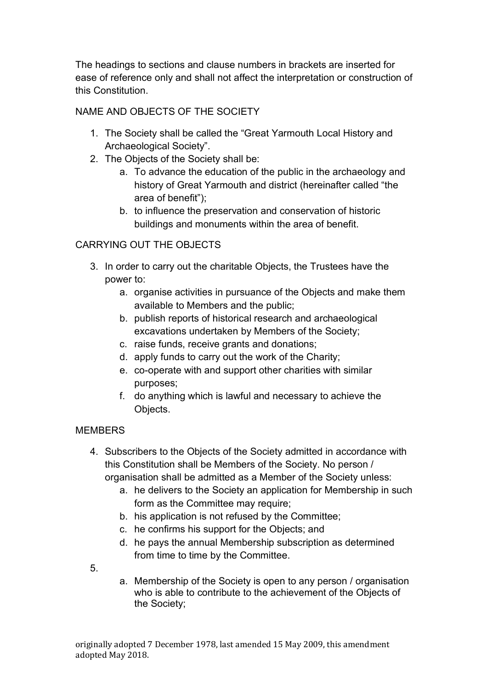The headings to sections and clause numbers in brackets are inserted for ease of reference only and shall not affect the interpretation or construction of this Constitution.

# NAME AND OBJECTS OF THE SOCIETY

- 1. The Society shall be called the "Great Yarmouth Local History and Archaeological Society".
- 2. The Objects of the Society shall be:
	- a. To advance the education of the public in the archaeology and history of Great Yarmouth and district (hereinafter called "the area of benefit");
	- b. to influence the preservation and conservation of historic buildings and monuments within the area of benefit.

# CARRYING OUT THE OBJECTS

- 3. In order to carry out the charitable Objects, the Trustees have the power to:
	- a. organise activities in pursuance of the Objects and make them available to Members and the public;
	- b. publish reports of historical research and archaeological excavations undertaken by Members of the Society;
	- c. raise funds, receive grants and donations;
	- d. apply funds to carry out the work of the Charity;
	- e. co-operate with and support other charities with similar purposes;
	- f. do anything which is lawful and necessary to achieve the Objects.

#### **MEMBERS**

- 4. Subscribers to the Objects of the Society admitted in accordance with this Constitution shall be Members of the Society. No person / organisation shall be admitted as a Member of the Society unless:
	- a. he delivers to the Society an application for Membership in such form as the Committee may require;
	- b. his application is not refused by the Committee;
	- c. he confirms his support for the Objects; and
	- d. he pays the annual Membership subscription as determined from time to time by the Committee.
- 5.
- a. Membership of the Society is open to any person / organisation who is able to contribute to the achievement of the Objects of the Society;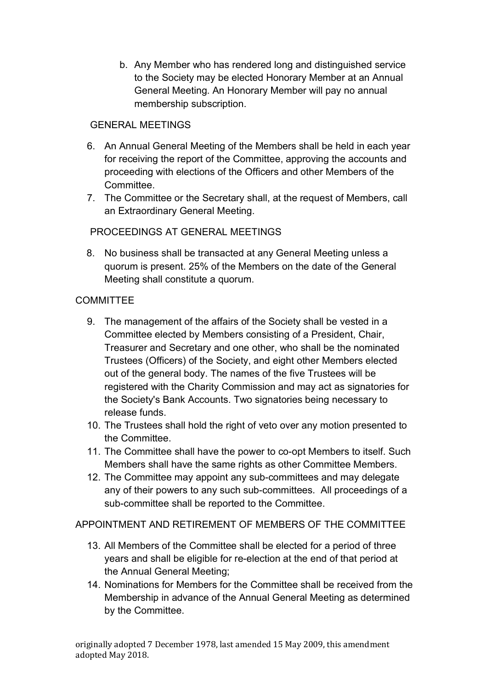b. Any Member who has rendered long and distinguished service to the Society may be elected Honorary Member at an Annual General Meeting. An Honorary Member will pay no annual membership subscription.

### GENERAL MEETINGS

- 6. An Annual General Meeting of the Members shall be held in each year for receiving the report of the Committee, approving the accounts and proceeding with elections of the Officers and other Members of the Committee.
- 7. The Committee or the Secretary shall, at the request of Members, call an Extraordinary General Meeting.

# PROCEEDINGS AT GENERAL MEETINGS

8. No business shall be transacted at any General Meeting unless a quorum is present. 25% of the Members on the date of the General Meeting shall constitute a quorum.

### **COMMITTEE**

- 9. The management of the affairs of the Society shall be vested in a Committee elected by Members consisting of a President, Chair, Treasurer and Secretary and one other, who shall be the nominated Trustees (Officers) of the Society, and eight other Members elected out of the general body. The names of the five Trustees will be registered with the Charity Commission and may act as signatories for the Society's Bank Accounts. Two signatories being necessary to release funds.
- 10. The Trustees shall hold the right of veto over any motion presented to the Committee.
- 11. The Committee shall have the power to co-opt Members to itself. Such Members shall have the same rights as other Committee Members.
- 12. The Committee may appoint any sub-committees and may delegate any of their powers to any such sub-committees. All proceedings of a sub-committee shall be reported to the Committee.

APPOINTMENT AND RETIREMENT OF MEMBERS OF THE COMMITTEE

- 13. All Members of the Committee shall be elected for a period of three years and shall be eligible for re-election at the end of that period at the Annual General Meeting;
- 14. Nominations for Members for the Committee shall be received from the Membership in advance of the Annual General Meeting as determined by the Committee.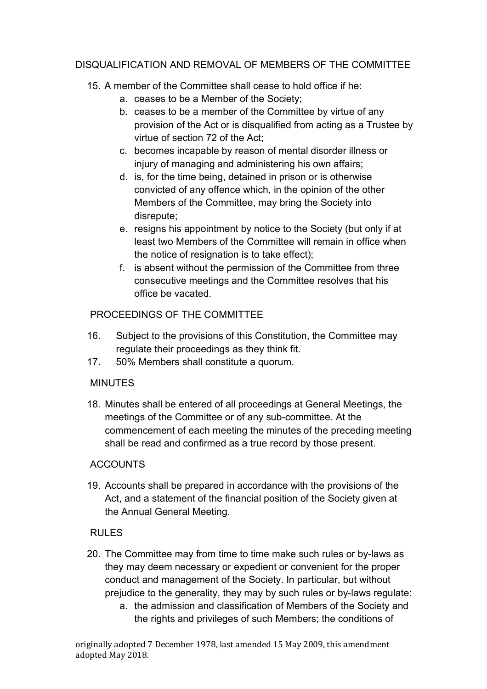### DISQUALIFICATION AND REMOVAL OF MEMBERS OF THE COMMITTEE

# 15. A member of the Committee shall cease to hold office if he:

- a. ceases to be a Member of the Society;
- b. ceases to be a member of the Committee by virtue of any provision of the Act or is disqualified from acting as a Trustee by virtue of section 72 of the Act;
- c. becomes incapable by reason of mental disorder illness or injury of managing and administering his own affairs;
- d. is, for the time being, detained in prison or is otherwise convicted of any offence which, in the opinion of the other Members of the Committee, may bring the Society into disrepute;
- e. resigns his appointment by notice to the Society (but only if at least two Members of the Committee will remain in office when the notice of resignation is to take effect);
- f. is absent without the permission of the Committee from three consecutive meetings and the Committee resolves that his office be vacated.

### PROCEEDINGS OF THE COMMITTEE

- 16. Subject to the provisions of this Constitution, the Committee may regulate their proceedings as they think fit.
- 17. 50% Members shall constitute a quorum.

# MINUTES

18. Minutes shall be entered of all proceedings at General Meetings, the meetings of the Committee or of any sub-committee. At the commencement of each meeting the minutes of the preceding meeting shall be read and confirmed as a true record by those present.

# **ACCOUNTS**

19. Accounts shall be prepared in accordance with the provisions of the Act, and a statement of the financial position of the Society given at the Annual General Meeting.

# RULES

- 20. The Committee may from time to time make such rules or by-laws as they may deem necessary or expedient or convenient for the proper conduct and management of the Society. In particular, but without prejudice to the generality, they may by such rules or by-laws regulate:
	- a. the admission and classification of Members of the Society and the rights and privileges of such Members; the conditions of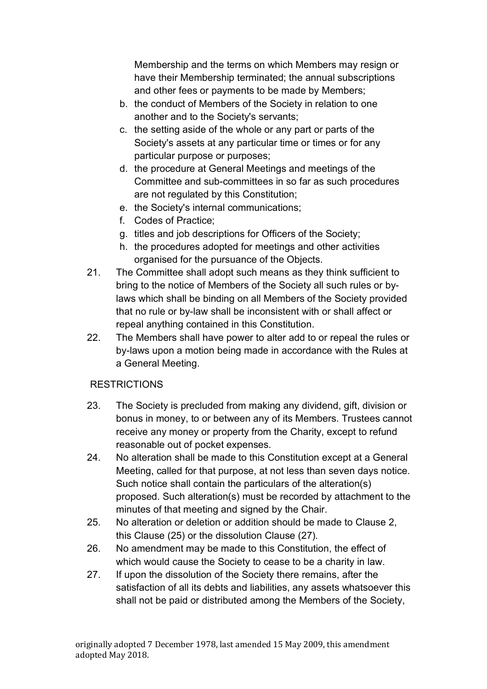Membership and the terms on which Members may resign or have their Membership terminated; the annual subscriptions and other fees or payments to be made by Members;

- b. the conduct of Members of the Society in relation to one another and to the Society's servants;
- c. the setting aside of the whole or any part or parts of the Society's assets at any particular time or times or for any particular purpose or purposes;
- d. the procedure at General Meetings and meetings of the Committee and sub-committees in so far as such procedures are not regulated by this Constitution;
- e. the Society's internal communications;
- f. Codes of Practice;
- g. titles and job descriptions for Officers of the Society;
- h. the procedures adopted for meetings and other activities organised for the pursuance of the Objects.
- 21. The Committee shall adopt such means as they think sufficient to bring to the notice of Members of the Society all such rules or bylaws which shall be binding on all Members of the Society provided that no rule or by-law shall be inconsistent with or shall affect or repeal anything contained in this Constitution.
- 22. The Members shall have power to alter add to or repeal the rules or by-laws upon a motion being made in accordance with the Rules at a General Meeting.

#### **RESTRICTIONS**

- 23. The Society is precluded from making any dividend, gift, division or bonus in money, to or between any of its Members. Trustees cannot receive any money or property from the Charity, except to refund reasonable out of pocket expenses.
- 24. No alteration shall be made to this Constitution except at a General Meeting, called for that purpose, at not less than seven days notice. Such notice shall contain the particulars of the alteration(s) proposed. Such alteration(s) must be recorded by attachment to the minutes of that meeting and signed by the Chair.
- 25. No alteration or deletion or addition should be made to Clause 2, this Clause (25) or the dissolution Clause (27).
- 26. No amendment may be made to this Constitution, the effect of which would cause the Society to cease to be a charity in law.
- 27. If upon the dissolution of the Society there remains, after the satisfaction of all its debts and liabilities, any assets whatsoever this shall not be paid or distributed among the Members of the Society,